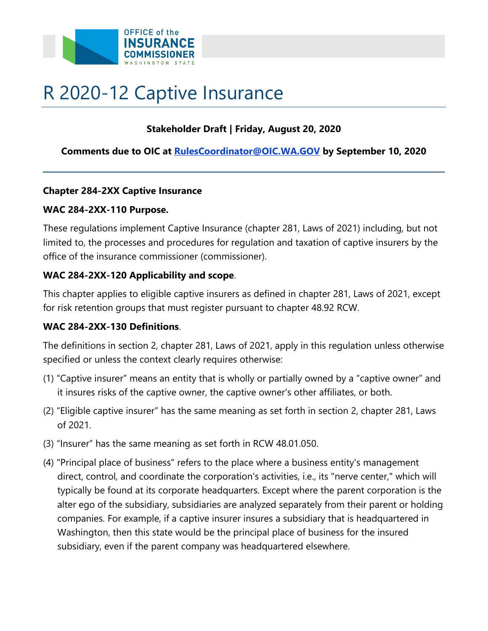

# R 2020-12 Captive Insurance

## **Stakeholder Draft | Friday, August 20, 2020**

## **Comments due to OIC at [RulesCoordinator@OIC.WA.GOV](mailto:RulesCoordinator@OIC.WA.GOVv) by September 10, 2020**

#### **Chapter 284-2XX Captive Insurance**

#### **WAC 284-2XX-110 Purpose.**

These regulations implement Captive Insurance (chapter 281, Laws of 2021) including, but not limited to, the processes and procedures for regulation and taxation of captive insurers by the office of the insurance commissioner (commissioner).

# **WAC 284-2XX-120 Applicability and scope**.

This chapter applies to eligible captive insurers as defined in chapter 281, Laws of 2021, except for risk retention groups that must register pursuant to chapter 48.92 RCW.

#### **WAC 284-2XX-130 Definitions**.

The definitions in section 2, chapter 281, Laws of 2021, apply in this regulation unless otherwise specified or unless the context clearly requires otherwise:

- (1) "Captive insurer" means an entity that is wholly or partially owned by a "captive owner" and it insures risks of the captive owner, the captive owner's other affiliates, or both.
- (2) "Eligible captive insurer" has the same meaning as set forth in section 2, chapter 281, Laws of 2021.
- (3) "Insurer" has the same meaning as set forth in RCW 48.01.050.
- (4) "Principal place of business" refers to the place where a business entity's management direct, control, and coordinate the corporation's activities, i.e., its "nerve center," which will typically be found at its corporate headquarters. Except where the parent corporation is the alter ego of the subsidiary, subsidiaries are analyzed separately from their parent or holding companies. For example, if a captive insurer insures a subsidiary that is headquartered in Washington, then this state would be the principal place of business for the insured subsidiary, even if the parent company was headquartered elsewhere.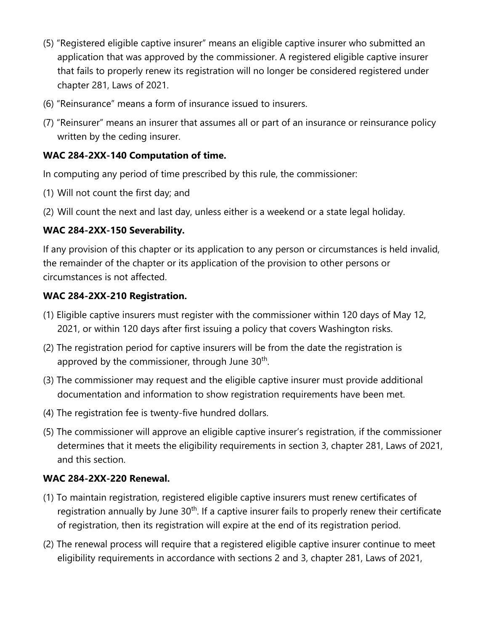- (5) "Registered eligible captive insurer" means an eligible captive insurer who submitted an application that was approved by the commissioner. A registered eligible captive insurer that fails to properly renew its registration will no longer be considered registered under chapter 281, Laws of 2021.
- (6) "Reinsurance" means a form of insurance issued to insurers.
- (7) "Reinsurer" means an insurer that assumes all or part of an insurance or reinsurance policy written by the ceding insurer.

# **WAC 284-2XX-140 Computation of time.**

In computing any period of time prescribed by this rule, the commissioner:

- (1) Will not count the first day; and
- (2) Will count the next and last day, unless either is a weekend or a state legal holiday.

# **WAC 284-2XX-150 Severability.**

If any provision of this chapter or its application to any person or circumstances is held invalid, the remainder of the chapter or its application of the provision to other persons or circumstances is not affected.

## **WAC 284-2XX-210 Registration.**

- (1) Eligible captive insurers must register with the commissioner within 120 days of May 12, 2021, or within 120 days after first issuing a policy that covers Washington risks.
- (2) The registration period for captive insurers will be from the date the registration is approved by the commissioner, through June  $30<sup>th</sup>$ .
- (3) The commissioner may request and the eligible captive insurer must provide additional documentation and information to show registration requirements have been met.
- (4) The registration fee is twenty-five hundred dollars.
- determines that it meets the eligibility requirements in section 3, chapter 281, Laws of 2021, (5) The commissioner will approve an eligible captive insurer's registration, if the commissioner and this section.

# **WAC 284-2XX-220 Renewal.**

- (1) To maintain registration, registered eligible captive insurers must renew certificates of registration annually by June 30<sup>th</sup>. If a captive insurer fails to properly renew their certificate of registration, then its registration will expire at the end of its registration period.
- (2) The renewal process will require that a registered eligible captive insurer continue to meet eligibility requirements in accordance with sections 2 and 3, chapter 281, Laws of 2021,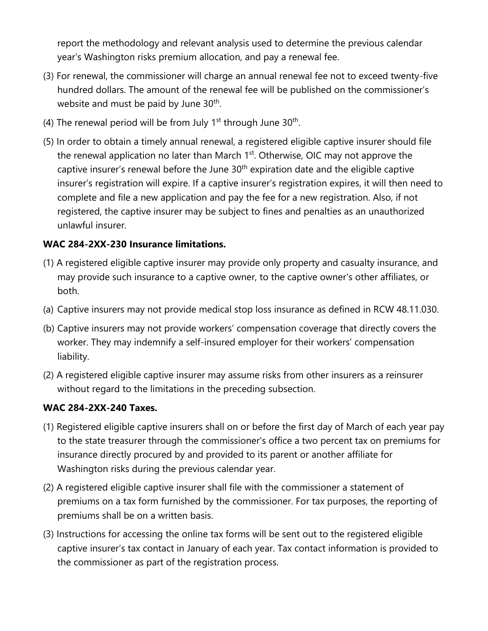report the methodology and relevant analysis used to determine the previous calendar year's Washington risks premium allocation, and pay a renewal fee.

- (3) For renewal, the commissioner will charge an annual renewal fee not to exceed twenty-five hundred dollars. The amount of the renewal fee will be published on the commissioner's website and must be paid by June 30<sup>th</sup>.
- (4) The renewal period will be from July  $1<sup>st</sup>$  through June 30<sup>th</sup>.
- (5) In order to obtain a timely annual renewal, a registered eligible captive insurer should file the renewal application no later than March 1<sup>st</sup>. Otherwise, OIC may not approve the captive insurer's renewal before the June  $30<sup>th</sup>$  expiration date and the eligible captive insurer's registration will expire. If a captive insurer's registration expires, it will then need to complete and file a new application and pay the fee for a new registration. Also, if not registered, the captive insurer may be subject to fines and penalties as an unauthorized unlawful insurer.

## **WAC 284-2XX-230 Insurance limitations.**

- (1) A registered eligible captive insurer may provide only property and casualty insurance, and may provide such insurance to a captive owner, to the captive owner's other affiliates, or both.
- (a) Captive insurers may not provide medical stop loss insurance as defined in RCW 48.11.030.
- (b) Captive insurers may not provide workers' compensation coverage that directly covers the worker. They may indemnify a self-insured employer for their workers' compensation liability.
- (2) A registered eligible captive insurer may assume risks from other insurers as a reinsurer without regard to the limitations in the preceding subsection.

#### **WAC 284-2XX-240 Taxes.**

- (1) Registered eligible captive insurers shall on or before the first day of March of each year pay to the state treasurer through the commissioner's office a two percent tax on premiums for insurance directly procured by and provided to its parent or another affiliate for Washington risks during the previous calendar year.
- (2) A registered eligible captive insurer shall file with the commissioner a statement of premiums on a tax form furnished by the commissioner. For tax purposes, the reporting of premiums shall be on a written basis.
- (3) Instructions for accessing the online tax forms will be sent out to the registered eligible captive insurer's tax contact in January of each year. Tax contact information is provided to the commissioner as part of the registration process.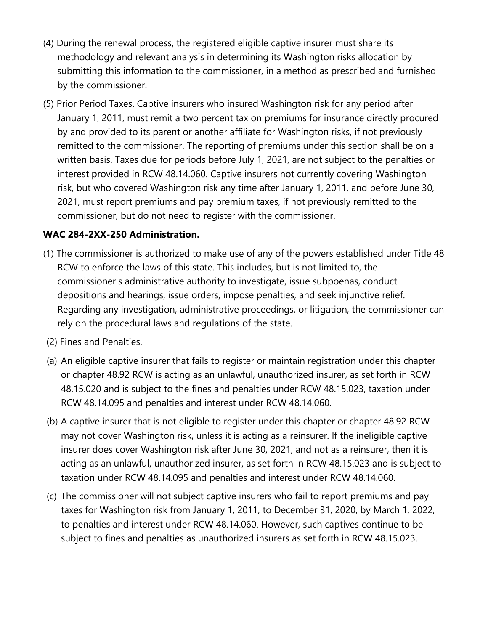- (4) During the renewal process, the registered eligible captive insurer must share its methodology and relevant analysis in determining its Washington risks allocation by submitting this information to the commissioner, in a method as prescribed and furnished by the commissioner.
- (5) Prior Period Taxes. Captive insurers who insured Washington risk for any period after January 1, 2011, must remit a two percent tax on premiums for insurance directly procured by and provided to its parent or another affiliate for Washington risks, if not previously remitted to the commissioner. The reporting of premiums under this section shall be on a written basis. Taxes due for periods before July 1, 2021, are not subject to the penalties or interest provided in RCW 48.14.060. Captive insurers not currently covering Washington risk, but who covered Washington risk any time after January 1, 2011, and before June 30, 2021, must report premiums and pay premium taxes, if not previously remitted to the commissioner, but do not need to register with the commissioner.

## **WAC 284-2XX-250 Administration.**

- (1) The commissioner is authorized to make use of any of the powers established under Title 48 RCW to enforce the laws of this state. This includes, but is not limited to, the commissioner's administrative authority to investigate, issue subpoenas, conduct depositions and hearings, issue orders, impose penalties, and seek injunctive relief. Regarding any investigation, administrative proceedings, or litigation, the commissioner can rely on the procedural laws and regulations of the state.
- (2) Fines and Penalties.
- (a) An eligible captive insurer that fails to register or maintain registration under this chapter or chapter 48.92 RCW is acting as an unlawful, unauthorized insurer, as set forth in RCW 48.15.020 and is subject to the fines and penalties under RCW 48.15.023, taxation under RCW 48.14.095 and penalties and interest under RCW 48.14.060.
- (b) A captive insurer that is not eligible to register under this chapter or chapter 48.92 RCW may not cover Washington risk, unless it is acting as a reinsurer. If the ineligible captive insurer does cover Washington risk after June 30, 2021, and not as a reinsurer, then it is acting as an unlawful, unauthorized insurer, as set forth in RCW 48.15.023 and is subject to taxation under RCW 48.14.095 and penalties and interest under RCW 48.14.060.
- (c) The commissioner will not subject captive insurers who fail to report premiums and pay taxes for Washington risk from January 1, 2011, to December 31, 2020, by March 1, 2022, to penalties and interest under RCW 48.14.060. However, such captives continue to be subject to fines and penalties as unauthorized insurers as set forth in RCW 48.15.023.